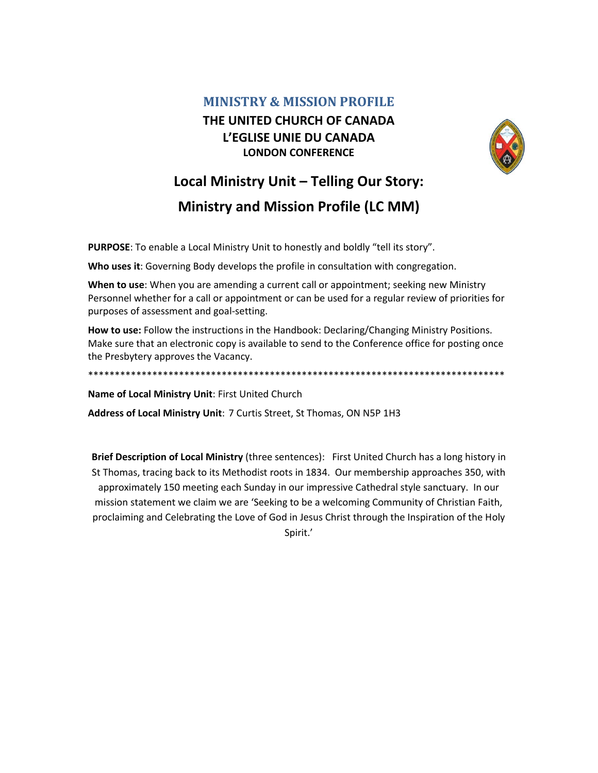## **MINISTRY & MISSION PROFILE** THE UNITED CHURCH OF CANADA L'EGLISE UNIE DU CANADA **LONDON CONFERENCE**



## Local Ministry Unit - Telling Our Story: **Ministry and Mission Profile (LC MM)**

PURPOSE: To enable a Local Ministry Unit to honestly and boldly "tell its story".

Who uses it: Governing Body develops the profile in consultation with congregation.

When to use: When you are amending a current call or appointment; seeking new Ministry Personnel whether for a call or appointment or can be used for a regular review of priorities for purposes of assessment and goal-setting.

How to use: Follow the instructions in the Handbook: Declaring/Changing Ministry Positions. Make sure that an electronic copy is available to send to the Conference office for posting once the Presbytery approves the Vacancy.

Name of Local Ministry Unit: First United Church

Address of Local Ministry Unit: 7 Curtis Street, St Thomas, ON N5P 1H3

Brief Description of Local Ministry (three sentences): First United Church has a long history in St Thomas, tracing back to its Methodist roots in 1834. Our membership approaches 350, with approximately 150 meeting each Sunday in our impressive Cathedral style sanctuary. In our mission statement we claim we are 'Seeking to be a welcoming Community of Christian Faith, proclaiming and Celebrating the Love of God in Jesus Christ through the Inspiration of the Holy Spirit.'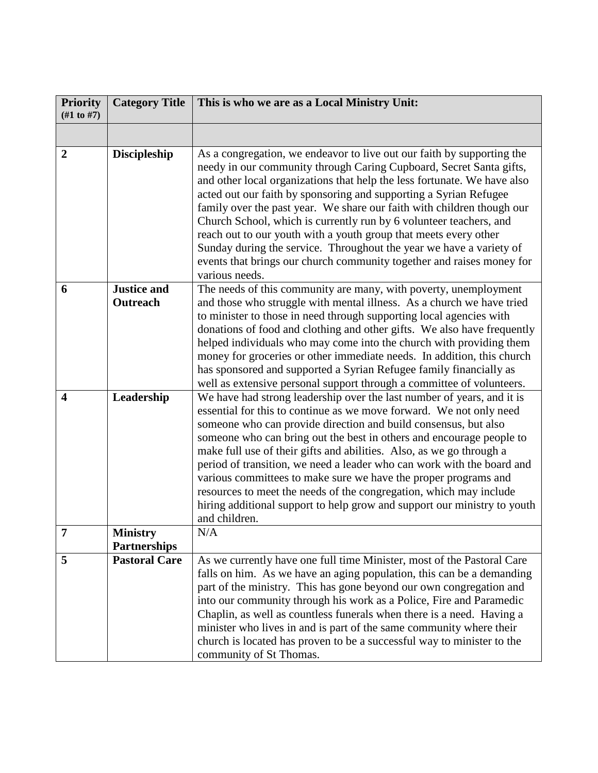| <b>Priority</b><br>$(\#1 \text{ to } \#7)$ | <b>Category Title</b>                  | This is who we are as a Local Ministry Unit:                                                                                                                                                                                                                                                                                                                                                                                                                                                                                                                                                                                                                                         |
|--------------------------------------------|----------------------------------------|--------------------------------------------------------------------------------------------------------------------------------------------------------------------------------------------------------------------------------------------------------------------------------------------------------------------------------------------------------------------------------------------------------------------------------------------------------------------------------------------------------------------------------------------------------------------------------------------------------------------------------------------------------------------------------------|
|                                            |                                        |                                                                                                                                                                                                                                                                                                                                                                                                                                                                                                                                                                                                                                                                                      |
| $\boldsymbol{2}$                           | <b>Discipleship</b>                    | As a congregation, we endeavor to live out our faith by supporting the<br>needy in our community through Caring Cupboard, Secret Santa gifts,<br>and other local organizations that help the less fortunate. We have also<br>acted out our faith by sponsoring and supporting a Syrian Refugee<br>family over the past year. We share our faith with children though our<br>Church School, which is currently run by 6 volunteer teachers, and<br>reach out to our youth with a youth group that meets every other<br>Sunday during the service. Throughout the year we have a variety of<br>events that brings our church community together and raises money for<br>various needs. |
| 6                                          | <b>Justice and</b><br>Outreach         | The needs of this community are many, with poverty, unemployment<br>and those who struggle with mental illness. As a church we have tried<br>to minister to those in need through supporting local agencies with<br>donations of food and clothing and other gifts. We also have frequently<br>helped individuals who may come into the church with providing them<br>money for groceries or other immediate needs. In addition, this church<br>has sponsored and supported a Syrian Refugee family financially as<br>well as extensive personal support through a committee of volunteers.                                                                                          |
| 4                                          | Leadership                             | We have had strong leadership over the last number of years, and it is<br>essential for this to continue as we move forward. We not only need<br>someone who can provide direction and build consensus, but also<br>someone who can bring out the best in others and encourage people to<br>make full use of their gifts and abilities. Also, as we go through a<br>period of transition, we need a leader who can work with the board and<br>various committees to make sure we have the proper programs and<br>resources to meet the needs of the congregation, which may include<br>hiring additional support to help grow and support our ministry to youth<br>and children.     |
|                                            | <b>Ministry</b><br><b>Partnerships</b> | N/A                                                                                                                                                                                                                                                                                                                                                                                                                                                                                                                                                                                                                                                                                  |
| 5                                          | <b>Pastoral Care</b>                   | As we currently have one full time Minister, most of the Pastoral Care<br>falls on him. As we have an aging population, this can be a demanding<br>part of the ministry. This has gone beyond our own congregation and<br>into our community through his work as a Police, Fire and Paramedic<br>Chaplin, as well as countless funerals when there is a need. Having a<br>minister who lives in and is part of the same community where their<br>church is located has proven to be a successful way to minister to the<br>community of St Thomas.                                                                                                                                   |